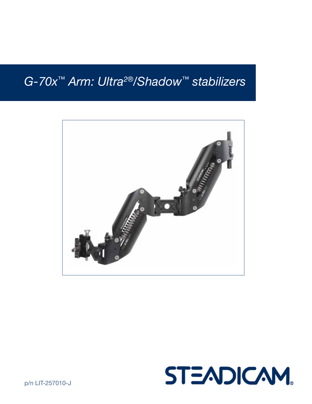# *G-70x™ Arm: Ultra2®/Shadow™ stabilizers*





p/n LIT-257010-J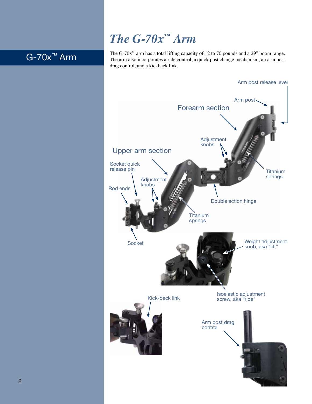# *The G-70x™ Arm*

## G-70x™ Arm

The G-70 $x^{\omega}$  arm has a total lifting capacity of 12 to 70 pounds and a 29" boom range. The arm also incorporates a ride control, a quick post change mechanism, an arm post drag control, and a kickback link.

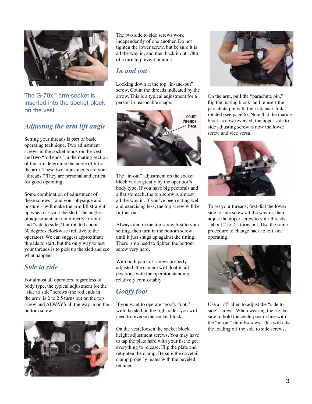

The G-70x™ arm socket is inserted into the socket block on the vest.

### *Adjusting the arm lift angle*

Setting your threads is part of basic operating technique. Two adjustment screws in the socket block on the vest and two "rod ends" in the mating section of the arm determine the angle of lift of the arm. These two adjustments are your "threads." They are personal and critical for good operating.

Some combination of adjustment of these screws – and your physique and posture – will make the arm lift straight up when carrying the sled. The angles of adjustment are not directly "in-out" and "side to side," but rotated about 30 degrees clockwise (relative to the operator). We can suggest approximate threads to start, but the only way to test your threads is to pick up the sled and see what happens.

#### *Side to side*

For almost all operators, regardless of body type, the typical adjustment for the "side to side" screws (the rod ends in the arm) is 2 to 2.5 turns out on the top screw and ALWAYS all the way in on the bottom screw.



The two side to side screws work independently of one another. Do not tighten the lower screw, but be sure it is all the way in, and then back it out 1/8th of a turn to prevent binding.

### *In and out*

Looking down at the top "in-and-out" screw. Count the threads indicated by the arrow. This is a typical adjustment for a person in reasonable shape.



The "in-out" adjustment on the socket block varies greatly by the operator's body type. If you have big pectorals and a flat stomach, the top screw is almost all the way in. If you've been eating well and exercising less, the top screw will be further out.

Always dial in the top screw first to your setting, then turn in the bottom screw until it just snugs up against the fitting. There is no need to tighten the bottom screw very hard.

With both pairs of screws properly adjusted, the camera will float in all positions with the operator standing relatively comfortably.

### *Goofy foot*

If you want to operate "goofy-foot," with the sled on the right side –you will need to reverse the socket block.

On the vest, loosen the socket block height adjustment screws. You may have to tap the plate hard with your fist to get everything to release. Flip the plate and retighten the clamp. Be sure the dovetail clamp properly mates with the beveled retainer.



On the arm, pull the "parachute pin," flip the mating block, and reinsert the parachute pin with the kick back link rotated (see page 6). Note that the mating block is now reversed; the upper side to side adjusting screw is now the lower screw and vice versa.



To set your threads, first dial the lower side to side screw all the way in, then adjust the upper screw to your threads - about 2 to 2.5 turns out. Use the same procedure to change back to left side operating.



Use a 1/4" allen to adjust the "side to side" screws. When wearing the rig, be sure to hold the centerpost in line with the "in-out" thumbscrews. This will take the loading off the side to side screws.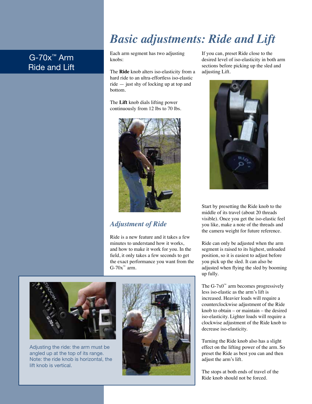# *Basic adjustments: Ride and Lift*

## G-70x™ Arm Ride and Lift

Each arm segment has two adjusting knobs:

The **Ride** knob alters iso-elasticity from a hard ride to an ultra-effortless iso-elastic ride — just shy of locking up at top and bottom.

The **Lift** knob dials lifting power continuously from 12 lbs to 70 lbs.



### *Adjustment of Ride*

Ride is a new feature and it takes a few minutes to understand how it works, and how to make it work for you. In the field, it only takes a few seconds to get the exact performance you want from the  $G-70x^{m}$  arm.



Adjusting the ride: the arm must be angled up at the top of its range. Note: the ride knob is horizontal, the lift knob is vertical.

4



If you can, preset Ride close to the desired level of iso-elasticity in both arm sections before picking up the sled and adjusting Lift.



Start by presetting the Ride knob to the middle of its travel (about 20 threads visible). Once you get the iso-elastic feel you like, make a note of the threads and the camera weight for future reference.

Ride can only be adjusted when the arm segment is raised to its highest, unloaded position, so it is easiest to adjust before you pick up the sled. It can also be adjusted when flying the sled by booming up fully.

The  $G$ -7x0<sup>™</sup> arm becomes progressively less iso-elastic as the arm's lift is increased. Heavier loads will require a counterclockwise adjustment of the Ride knob to obtain – or maintain – the desired iso-elasticity. Lighter loads will require a clockwise adjustment of the Ride knob to decrease iso-elasticity.

Turning the Ride knob also has a slight effect on the lifting power of the arm. So preset the Ride as best you can and then adjust the arm's lift.

The stops at both ends of travel of the Ride knob should not be forced.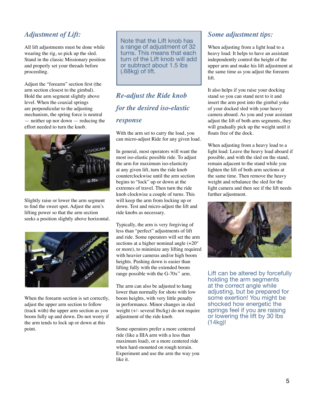### *Adjustment of Lift:*

All lift adjustments must be done while wearing the rig, so pick up the sled. Stand in the classic Missionary position and properly set your threads before proceeding.

Adjust the "forearm" section first (the arm section closest to the gimbal). Hold the arm segment slightly above level. When the coaxial springs are perpendicular to the adjusting mechanism, the spring force is neutral — neither up nor down — reducing the effort needed to turn the knob.



Slightly raise or lower the arm segment to find the sweet spot. Adjust the arm's lifting power so that the arm section seeks a position slightly above horizontal.



When the forearm section is set correctly, adjust the upper arm section to follow (track with) the upper arm section as you boom fully up and down. Do not worry if the arm tends to lock up or down at this point.

Note that the Lift knob has a range of adjustment of 32 turns. This means that each turn of the Lift knob will add or subtract about 1.5 lbs (.68kg) of lift.

## *Re-adjust the Ride knob for the desired iso-elastic response*

With the arm set to carry the load, you can micro-adjust Ride for any given load.

In general, most operators will want the most iso-elastic possible ride. To adjust the arm for maximum iso-elasticity at any given lift, turn the ride knob counterclockwise until the arm section begins to "lock" up or down at the extremes of travel. Then turn the ride knob clockwise a couple of turns. This will keep the arm from locking up or down. Test and micro-adjust the lift and ride knobs as necessary.

Typically, the arm is very forgiving of less than "perfect" adjustments of lift and ride. Some operators will set the arm sections at a higher nominal angle (+20º or more), to minimize any lifting required with heavier cameras and/or high boom heights. Pushing down is easier than lifting fully with the extended boom range possible with the G-70 $x^{\mu}$  arm.

The arm can also be adjusted to hang lower than normally for shots with low boom heights, with very little penalty in performance. Minor changes in sled weight (+/- several lbs/kg) do not require adjustment of the ride knob.

Some operators prefer a more centered ride (like a IIIA arm with a less than maximum load), or a more centered ride when hard-mounted on rough terrain. Experiment and use the arm the way you like it.

#### *Some adjustment tips:*

When adjusting from a light load to a heavy load: It helps to have an assistant independently control the height of the upper arm and make his lift adjustment at the same time as you adjust the forearm lift.

It also helps if you raise your docking stand so you can stand next to it and insert the arm post into the gimbal yoke of your docked sled with your heavy camera aboard. As you and your assistant adjust the lift of both arm segments, they will gradually pick up the weight until it floats free of the dock.

When adjusting from a heavy load to a light load: Leave the heavy load aboard if possible, and with the sled on the stand, remain adjacent to the stand while you lighten the lift of both arm sections at the same time. Then remove the heavy weight and rebalance the sled for the light camera and then see if the lift needs further adjustment.



Lift can be altered by forcefully holding the arm segments at the correct angle while adjusting, but be prepared for some exertion! You might be shocked how energetic the springs feel if you are raising or lowering the lift by 30 lbs (14kg)!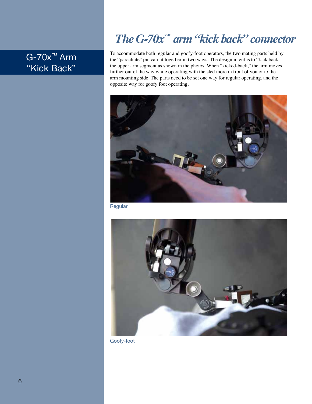# *The G-70x™ arm "kick back" connector*

## G-70x™ Arm "Kick Back"

To accommodate both regular and goofy-foot operators, the two mating parts held by the "parachute" pin can fit together in two ways. The design intent is to "kick back" the upper arm segment as shown in the photos. When "kicked-back," the arm moves further out of the way while operating with the sled more in front of you or to the arm mounting side. The parts need to be set one way for regular operating, and the opposite way for goofy foot operating.



Regular



Goofy-foot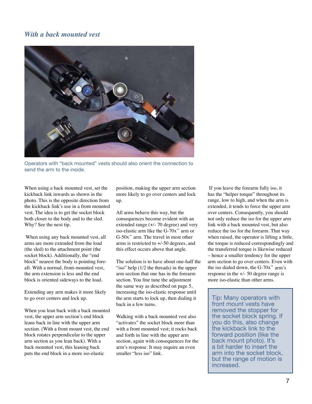#### *With a back mounted vest*



Operators with "back mounted" vests should also orient the connection to send the arm to the inside.

When using a back mounted vest, set the kickback link inwards as shown in the photo. This is the opposite direction from the kickback link's use in a front mounted vest. The idea is to get the socket block both closer to the body and to the sled. Why? See the next tip.

 When using any back mounted vest, all arms are more extended from the load (the sled) to the attachment point (the socket block). Additionally, the "end block" nearest the body is pointing foreaft. With a normal, front-mounted vest, the arm extension is less and the end block is oriented sideways to the load.

Extending any arm makes it more likely to go over centers and lock up.

When you lean back with a back mounted vest, the upper arm section's end block leans back in line with the upper arm section. (With a front mount vest, the end block rotates perpendicular to the upper arm section as you lean back). With a back mounted vest, this leaning back puts the end block in a more iso-elastic

position, making the upper arm section more likely to go over centers and lock up.

All arms behave this way, but the consequences become evident with an extended range (+/- 70 degree) and very iso-elastic arm like the  $G-70x^m$  arm or  $G-50x^m$  arm. The travel in most other arms is restricted to +/-50 degrees, and this effect occurs above that angle.

The solution is to have about one-half the "iso" help (1/2 the threads) in the upper arm section that one has in the forearm section. You fine tune the adjustment the same way as described on page 5, increasing the iso-elastic response until the arm starts to lock up, then dialing it back in a few turns.

Walking with a back mounted vest also "activates" the socket block more than with a front mounted vest; it rocks back and forth in line with the upper arm section, again with consequences for the arm's response. It may require an even smaller "less iso" link.

 If you leave the forearm fully iso, it has the "helper torque" throughout its range, low to high, and when the arm is extended, it tends to force the upper arm over centers. Consequently, you should not only reduce the iso for the upper arm link with a back mounted vest, but also reduce the iso for the forearm. That way when raised, the operator is lifting a little, the torque is reduced correspondingly and the transferred torque is likewise reduced – hence a smaller tendency for the upper arm section to go over centers. Even with the iso dialed down, the G-70 $x^m$  arm's response in the +/- 50 degree range is more iso-elastic than other arms.

Tip: Many operators with front mount vests have removed the stopper for the socket block spring. If you do this, also change the kickback link to the forward position (like the back mount photo). It's a bit harder to insert the arm into the socket block, but the range of motion is increased.